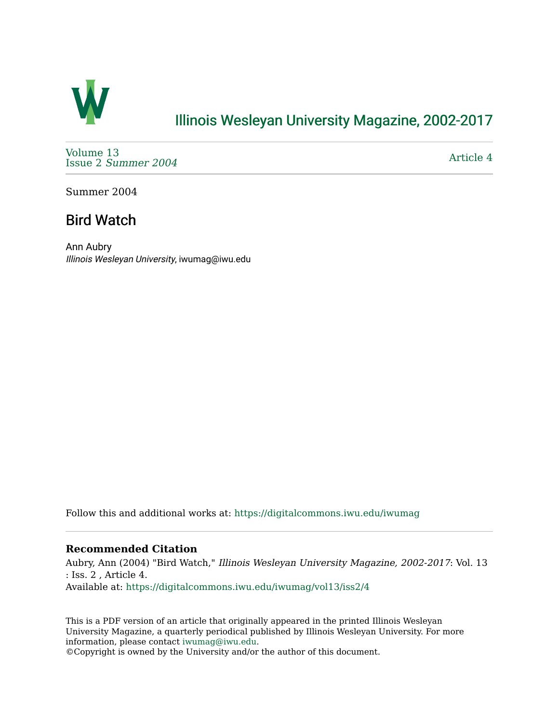

## [Illinois Wesleyan University Magazine, 2002-2017](https://digitalcommons.iwu.edu/iwumag)

[Volume 13](https://digitalcommons.iwu.edu/iwumag/vol13)  Issue 2 [Summer 2004](https://digitalcommons.iwu.edu/iwumag/vol13/iss2) 

[Article 4](https://digitalcommons.iwu.edu/iwumag/vol13/iss2/4) 

Summer 2004

# Bird Watch

Ann Aubry Illinois Wesleyan University, iwumag@iwu.edu

Follow this and additional works at: [https://digitalcommons.iwu.edu/iwumag](https://digitalcommons.iwu.edu/iwumag?utm_source=digitalcommons.iwu.edu%2Fiwumag%2Fvol13%2Fiss2%2F4&utm_medium=PDF&utm_campaign=PDFCoverPages) 

#### **Recommended Citation**

Aubry, Ann (2004) "Bird Watch," Illinois Wesleyan University Magazine, 2002-2017: Vol. 13 : Iss. 2 , Article 4. Available at: [https://digitalcommons.iwu.edu/iwumag/vol13/iss2/4](https://digitalcommons.iwu.edu/iwumag/vol13/iss2/4?utm_source=digitalcommons.iwu.edu%2Fiwumag%2Fvol13%2Fiss2%2F4&utm_medium=PDF&utm_campaign=PDFCoverPages)

This is a PDF version of an article that originally appeared in the printed Illinois Wesleyan University Magazine, a quarterly periodical published by Illinois Wesleyan University. For more information, please contact [iwumag@iwu.edu](mailto:iwumag@iwu.edu).

©Copyright is owned by the University and/or the author of this document.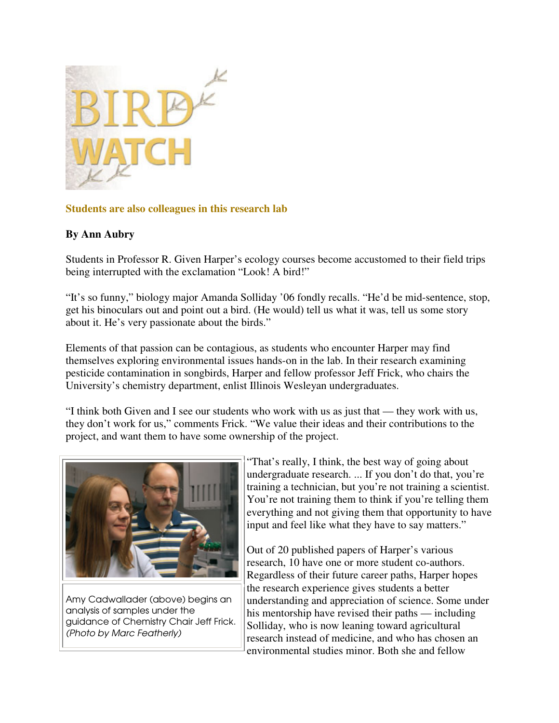

## **Students are also colleagues in this research lab**

## **By Ann Aubry**

Students in Professor R. Given Harper's ecology courses become accustomed to their field trips being interrupted with the exclamation "Look! A bird!"

"It's so funny," biology major Amanda Solliday '06 fondly recalls. "He'd be mid-sentence, stop, get his binoculars out and point out a bird. (He would) tell us what it was, tell us some story about it. He's very passionate about the birds."

Elements of that passion can be contagious, as students who encounter Harper may find themselves exploring environmental issues hands-on in the lab. In their research examining pesticide contamination in songbirds, Harper and fellow professor Jeff Frick, who chairs the University's chemistry department, enlist Illinois Wesleyan undergraduates.

"I think both Given and I see our students who work with us as just that — they work with us, they don't work for us," comments Frick. "We value their ideas and their contributions to the project, and want them to have some ownership of the project.



Amy Cadwallader (above) begins an analysis of samples under the guidance of Chemistry Chair Jeff Frick. (Photo by Marc Featherly)

"That's really, I think, the best way of going about undergraduate research. ... If you don't do that, you're training a technician, but you're not training a scientist. You're not training them to think if you're telling them everything and not giving them that opportunity to have input and feel like what they have to say matters."

Out of 20 published papers of Harper's various research, 10 have one or more student co-authors. Regardless of their future career paths, Harper hopes the research experience gives students a better understanding and appreciation of science. Some under his mentorship have revised their paths — including Solliday, who is now leaning toward agricultural research instead of medicine, and who has chosen an environmental studies minor. Both she and fellow